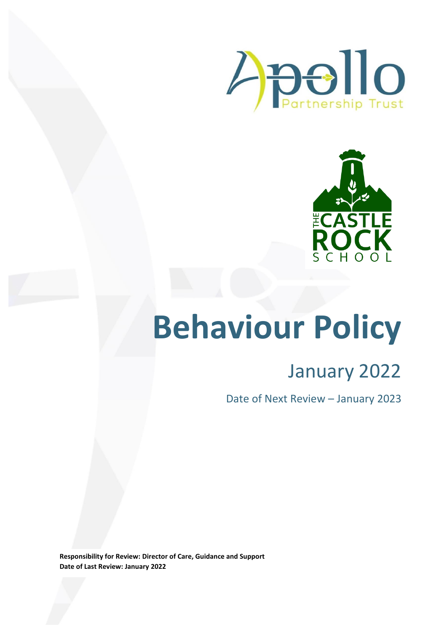



# **Behaviour Policy**

## January 2022

Date of Next Review – January 2023

**Responsibility for Review: Director of Care, Guidance and Support Date of Last Review: January 2022**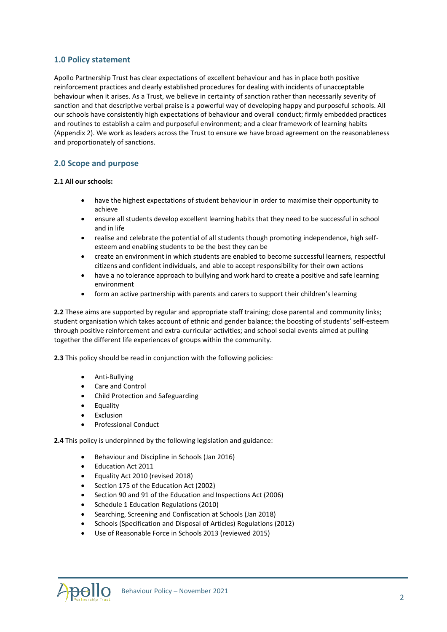#### **1.0 Policy statement**

Apollo Partnership Trust has clear expectations of excellent behaviour and has in place both positive reinforcement practices and clearly established procedures for dealing with incidents of unacceptable behaviour when it arises. As a Trust, we believe in certainty of sanction rather than necessarily severity of sanction and that descriptive verbal praise is a powerful way of developing happy and purposeful schools. All our schools have consistently high expectations of behaviour and overall conduct; firmly embedded practices and routines to establish a calm and purposeful environment; and a clear framework of learning habits (Appendix 2). We work as leaders across the Trust to ensure we have broad agreement on the reasonableness and proportionately of sanctions.

#### **2.0 Scope and purpose**

#### **2.1 All our schools:**

- have the highest expectations of student behaviour in order to maximise their opportunity to achieve
- ensure all students develop excellent learning habits that they need to be successful in school and in life
- realise and celebrate the potential of all students though promoting independence, high selfesteem and enabling students to be the best they can be
- create an environment in which students are enabled to become successful learners, respectful citizens and confident individuals, and able to accept responsibility for their own actions
- have a no tolerance approach to bullying and work hard to create a positive and safe learning environment
- form an active partnership with parents and carers to support their children's learning

**2.2** These aims are supported by regular and appropriate staff training; close parental and community links; student organisation which takes account of ethnic and gender balance; the boosting of students' self-esteem through positive reinforcement and extra-curricular activities; and school social events aimed at pulling together the different life experiences of groups within the community.

**2.3** This policy should be read in conjunction with the following policies:

- Anti-Bullying
- Care and Control
- Child Protection and Safeguarding
- Equality
- Exclusion
- Professional Conduct

**2.4** This policy is underpinned by the following legislation and guidance:

- Behaviour and Discipline in Schools (Jan 2016)
- Education Act 2011
- Equality Act 2010 (revised 2018)
- Section 175 of the Education Act (2002)
- Section 90 and 91 of the Education and Inspections Act (2006)
- Schedule 1 Education Regulations (2010)
- Searching, Screening and Confiscation at Schools (Jan 2018)
- Schools (Specification and Disposal of Articles) Regulations (2012)
- Use of Reasonable Force in Schools 2013 (reviewed 2015)

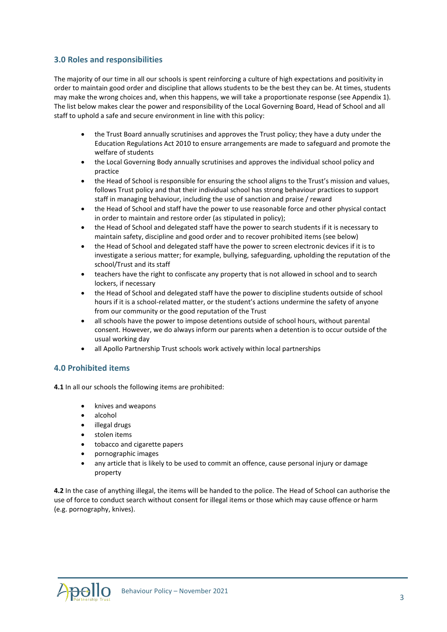#### **3.0 Roles and responsibilities**

The majority of our time in all our schools is spent reinforcing a culture of high expectations and positivity in order to maintain good order and discipline that allows students to be the best they can be. At times, students may make the wrong choices and, when this happens, we will take a proportionate response (see Appendix 1). The list below makes clear the power and responsibility of the Local Governing Board, Head of School and all staff to uphold a safe and secure environment in line with this policy:

- the Trust Board annually scrutinises and approves the Trust policy; they have a duty under the Education Regulations Act 2010 to ensure arrangements are made to safeguard and promote the welfare of students
- the Local Governing Body annually scrutinises and approves the individual school policy and practice
- the Head of School is responsible for ensuring the school aligns to the Trust's mission and values, follows Trust policy and that their individual school has strong behaviour practices to support staff in managing behaviour, including the use of sanction and praise / reward
- the Head of School and staff have the power to use reasonable force and other physical contact in order to maintain and restore order (as stipulated in policy);
- the Head of School and delegated staff have the power to search students if it is necessary to maintain safety, discipline and good order and to recover prohibited items (see below)
- the Head of School and delegated staff have the power to screen electronic devices if it is to investigate a serious matter; for example, bullying, safeguarding, upholding the reputation of the school/Trust and its staff
- teachers have the right to confiscate any property that is not allowed in school and to search lockers, if necessary
- the Head of School and delegated staff have the power to discipline students outside of school hours if it is a school-related matter, or the student's actions undermine the safety of anyone from our community or the good reputation of the Trust
- all schools have the power to impose detentions outside of school hours, without parental consent. However, we do always inform our parents when a detention is to occur outside of the usual working day
- all Apollo Partnership Trust schools work actively within local partnerships

#### **4.0 Prohibited items**

**4.1** In all our schools the following items are prohibited:

- knives and weapons
- alcohol
- illegal drugs
- stolen items
- tobacco and cigarette papers
- pornographic images
- any article that is likely to be used to commit an offence, cause personal injury or damage property

**4.2** In the case of anything illegal, the items will be handed to the police. The Head of School can authorise the use of force to conduct search without consent for illegal items or those which may cause offence or harm (e.g. pornography, knives).

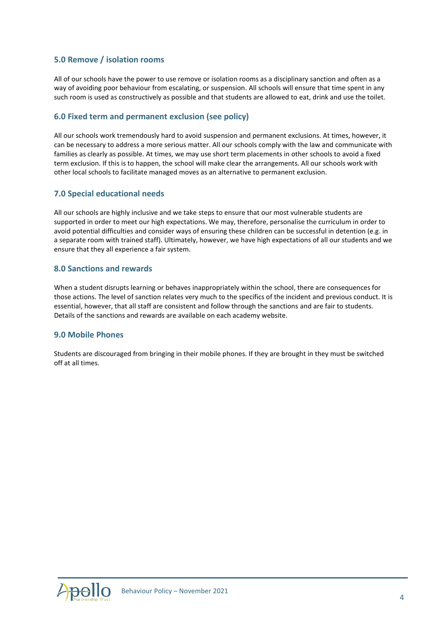#### **5.0 Remove / isolation rooms**

All of our schools have the power to use remove or isolation rooms as a disciplinary sanction and often as a way of avoiding poor behaviour from escalating, or suspension. All schools will ensure that time spent in any such room is used as constructively as possible and that students are allowed to eat, drink and use the toilet.

#### **6.0 Fixed term and permanent exclusion (see policy)**

All our schools work tremendously hard to avoid suspension and permanent exclusions. At times, however, it can be necessary to address a more serious matter. All our schools comply with the law and communicate with families as clearly as possible. At times, we may use short term placements in other schools to avoid a fixed term exclusion. If this is to happen, the school will make clear the arrangements. All our schools work with other local schools to facilitate managed moves as an alternative to permanent exclusion.

#### **7.0 Special educational needs**

All our schools are highly inclusive and we take steps to ensure that our most vulnerable students are supported in order to meet our high expectations. We may, therefore, personalise the curriculum in order to avoid potential difficulties and consider ways of ensuring these children can be successful in detention (e.g. in a separate room with trained staff). Ultimately, however, we have high expectations of all our students and we ensure that they all experience a fair system.

#### **8.0 Sanctions and rewards**

When a student disrupts learning or behaves inappropriately within the school, there are consequences for those actions. The level of sanction relates very much to the specifics of the incident and previous conduct. It is essential, however, that all staff are consistent and follow through the sanctions and are fair to students. Details of the sanctions and rewards are available on each academy website.

#### **9.0 Mobile Phones**

Students are discouraged from bringing in their mobile phones. If they are brought in they must be switched off at all times.

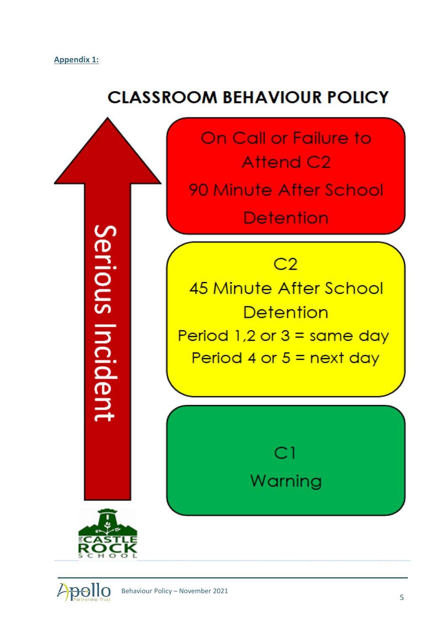### **CLASSROOM BEHAVIOUR POLICY**



*Apollo*